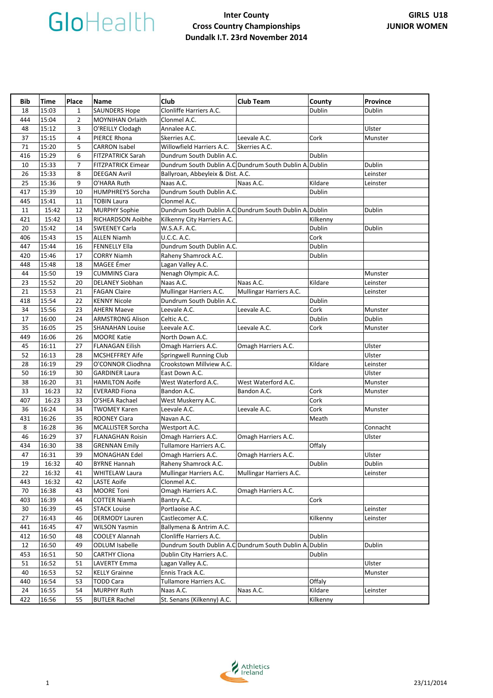| Bib | Time  | Place          | Name                      | Club                                                    | <b>Club Team</b>        | County   | <b>Province</b> |
|-----|-------|----------------|---------------------------|---------------------------------------------------------|-------------------------|----------|-----------------|
| 18  | 15:03 | $\mathbf{1}$   | <b>SAUNDERS Hope</b>      | Clonliffe Harriers A.C.                                 |                         | Dublin   | Dublin          |
| 444 | 15:04 | $\overline{2}$ | MOYNIHAN Orlaith          | Clonmel A.C.                                            |                         |          |                 |
| 48  | 15:12 | 3              | O'REILLY Clodagh          | Annalee A.C.                                            |                         |          | Ulster          |
| 37  | 15:15 | 4              | PIERCE Rhona              | Skerries A.C.                                           | Leevale A.C.            | Cork     | Munster         |
| 71  | 15:20 | 5              | <b>CARRON Isabel</b>      | Willowfield Harriers A.C.                               | Skerries A.C.           |          |                 |
| 416 | 15:29 | 6              | <b>FITZPATRICK Sarah</b>  | Dundrum South Dublin A.C.                               |                         | Dublin   |                 |
| 10  | 15:33 | 7              | <b>FITZPATRICK Eimear</b> | Dundrum South Dublin A.C Dundrum South Dublin A. Dublin |                         |          | Dublin          |
| 26  | 15:33 | 8              | <b>DEEGAN Avril</b>       | Ballyroan, Abbeyleix & Dist. A.C.                       |                         |          | Leinster        |
| 25  | 15:36 | 9              | O'HARA Ruth               | Naas A.C.                                               | Naas A.C.               | Kildare  | Leinster        |
| 417 | 15:39 | 10             | <b>HUMPHREYS Sorcha</b>   | Dundrum South Dublin A.C.                               |                         | Dublin   |                 |
| 445 | 15:41 | 11             | <b>TOBIN Laura</b>        | Clonmel A.C.                                            |                         |          |                 |
| 11  | 15:42 | 12             | <b>MURPHY Sophie</b>      | Dundrum South Dublin A.C Dundrum South Dublin A. Dublin |                         |          | Dublin          |
| 421 | 15:42 | 13             | RICHARDSON Aoibhe         | Kilkenny City Harriers A.C.                             |                         | Kilkenny |                 |
| 20  | 15:42 | 14             | <b>SWEENEY Carla</b>      | W.S.A.F. A.C.                                           |                         | Dublin   | Dublin          |
| 406 | 15:43 | 15             | <b>ALLEN Niamh</b>        | U.C.C. A.C.                                             |                         | Cork     |                 |
| 447 | 15:44 | 16             | <b>FENNELLY Ella</b>      | Dundrum South Dublin A.C.                               |                         | Dublin   |                 |
| 420 | 15:46 | 17             | <b>CORRY Niamh</b>        | Raheny Shamrock A.C.                                    |                         | Dublin   |                 |
| 448 | 15:48 | 18             | MAGEE Émer                | Lagan Valley A.C.                                       |                         |          |                 |
| 44  | 15:50 | 19             | <b>CUMMINS Ciara</b>      | Nenagh Olympic A.C.                                     |                         |          | Munster         |
| 23  | 15:52 | 20             | <b>DELANEY Siobhan</b>    | Naas A.C.                                               | Naas A.C.               | Kildare  | Leinster        |
| 21  | 15:53 | 21             | <b>FAGAN Claire</b>       | Mullingar Harriers A.C.                                 | Mullingar Harriers A.C. |          | Leinster        |
| 418 | 15:54 | 22             | <b>KENNY Nicole</b>       | Dundrum South Dublin A.C.                               |                         | Dublin   |                 |
| 34  | 15:56 | 23             | <b>AHERN Maeve</b>        | Leevale A.C.                                            | Leevale A.C.            | Cork     | Munster         |
| 17  | 16:00 | 24             | <b>ARMSTRONG Alison</b>   | Celtic A.C.                                             |                         | Dublin   | Dublin          |
| 35  | 16:05 | 25             | <b>SHANAHAN Louise</b>    | Leevale A.C.                                            | Leevale A.C.            | Cork     | Munster         |
| 449 | 16:06 | 26             | <b>MOORE Katie</b>        | North Down A.C.                                         |                         |          |                 |
| 45  | 16:11 | 27             | <b>FLANAGAN Eilish</b>    | Omagh Harriers A.C.                                     | Omagh Harriers A.C.     |          | Ulster          |
| 52  | 16:13 | 28             | <b>MCSHEFFREY Aife</b>    | Springwell Running Club                                 |                         |          | Ulster          |
| 28  | 16:19 | 29             | O'CONNOR Cliodhna         | Crookstown Millview A.C.                                |                         | Kildare  | Leinster        |
| 50  | 16:19 | 30             | <b>GARDINER Laura</b>     | East Down A.C.                                          |                         |          | Ulster          |
| 38  | 16:20 | 31             | <b>HAMILTON Aoife</b>     | West Waterford A.C.                                     | West Waterford A.C.     |          | Munster         |
| 33  | 16:23 | 32             | <b>EVERARD Fiona</b>      | Bandon A.C.                                             | Bandon A.C.             | Cork     | Munster         |
| 407 | 16:23 | 33             | O'SHEA Rachael            | West Muskerry A.C.                                      |                         | Cork     |                 |
| 36  | 16:24 | 34             | <b>TWOMEY Karen</b>       | Leevale A.C.                                            | Leevale A.C.            | Cork     | Munster         |
| 431 | 16:26 | 35             | <b>ROONEY Ciara</b>       | Navan A.C.                                              |                         | Meath    |                 |
| 8   | 16:28 | 36             | <b>MCALLISTER Sorcha</b>  | Westport A.C.                                           |                         |          | Connacht        |
| 46  | 16:29 | 37             | <b>FLANAGHAN Roisin</b>   | Omagh Harriers A.C.                                     | Omagh Harriers A.C.     |          | Ulster          |
| 434 | 16:30 | 38             | <b>GRENNAN Emily</b>      | Tullamore Harriers A.C.                                 |                         | Offaly   |                 |
| 47  | 16:31 | 39             | <b>MONAGHAN Edel</b>      | Omagh Harriers A.C.                                     | Omagh Harriers A.C.     |          | Ulster          |
| 19  | 16:32 | 40             | <b>BYRNE Hannah</b>       | Raheny Shamrock A.C.                                    |                         | Dublin   | Dublin          |
| 22  | 16:32 | 41             | <b>WHITELAW Laura</b>     | Mullingar Harriers A.C.                                 | Mullingar Harriers A.C. |          | Leinster        |
| 443 | 16:32 | 42             | <b>LASTE Aoife</b>        | Clonmel A.C.                                            |                         |          |                 |
| 70  | 16:38 | 43             | <b>MOORE Toni</b>         | Omagh Harriers A.C.                                     | Omagh Harriers A.C.     |          |                 |
| 403 | 16:39 | 44             | COTTER Niamh              | Bantry A.C.                                             |                         | Cork     |                 |
| 30  | 16:39 | 45             | <b>STACK Louise</b>       | Portlaoise A.C.                                         |                         |          | Leinster        |
| 27  | 16:43 | 46             | <b>DERMODY Lauren</b>     | Castlecomer A.C.                                        |                         | Kilkenny | Leinster        |
| 441 | 16:45 | 47             | <b>WILSON Yasmin</b>      | Ballymena & Antrim A.C.                                 |                         |          |                 |
| 412 | 16:50 | 48             | <b>COOLEY Alannah</b>     | Clonliffe Harriers A.C.                                 |                         | Dublin   |                 |
| 12  | 16:50 | 49             | <b>ODLUM Isabelle</b>     | Dundrum South Dublin A.C Dundrum South Dublin A. Dublin |                         |          | Dublin          |
| 453 | 16:51 | 50             | <b>CARTHY Cliona</b>      | Dublin City Harriers A.C.                               |                         | Dublin   |                 |
| 51  | 16:52 | 51             | <b>LAVERTY Emma</b>       | Lagan Valley A.C.                                       |                         |          | Ulster          |
| 40  | 16:53 | 52             | <b>KELLY Grainne</b>      | Ennis Track A.C.                                        |                         |          | Munster         |
| 440 | 16:54 | 53             | <b>TODD Cara</b>          | Tullamore Harriers A.C.                                 |                         | Offaly   |                 |
| 24  | 16:55 | 54             | MURPHY Ruth               | Naas A.C.                                               | Naas A.C.               | Kildare  | Leinster        |
| 422 | 16:56 | 55             | <b>BUTLER Rachel</b>      | St. Senans (Kilkenny) A.C.                              |                         | Kilkenny |                 |

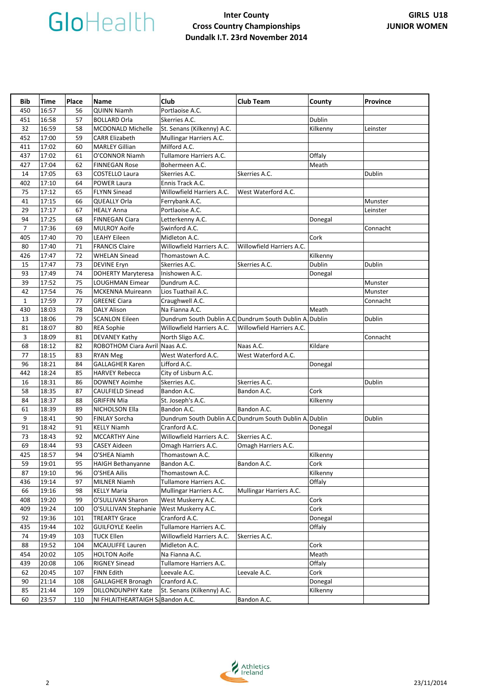| Bib            | Time  | Place | <b>Name</b>                       | Club                                                    | <b>Club Team</b>          | County        | <b>Province</b> |
|----------------|-------|-------|-----------------------------------|---------------------------------------------------------|---------------------------|---------------|-----------------|
| 450            | 16:57 | 56    | QUINN Niamh                       | Portlaoise A.C.                                         |                           |               |                 |
| 451            | 16:58 | 57    | <b>BOLLARD Orla</b>               | Skerries A.C.                                           |                           | <b>Dublin</b> |                 |
| 32             | 16:59 | 58    | MCDONALD Michelle                 | St. Senans (Kilkenny) A.C.                              |                           | Kilkenny      | Leinster        |
| 452            | 17:00 | 59    | <b>CARR Elizabeth</b>             | Mullingar Harriers A.C.                                 |                           |               |                 |
| 411            | 17:02 | 60    | <b>MARLEY Gillian</b>             | Milford A.C.                                            |                           |               |                 |
| 437            | 17:02 | 61    | O'CONNOR Niamh                    | Tullamore Harriers A.C.                                 |                           | Offaly        |                 |
| 427            | 17:04 | 62    | <b>FINNEGAN Rose</b>              | Bohermeen A.C.                                          |                           | Meath         |                 |
| 14             | 17:05 | 63    | <b>COSTELLO Laura</b>             | Skerries A.C.                                           | Skerries A.C.             |               | Dublin          |
| 402            | 17:10 | 64    | POWER Laura                       | Ennis Track A.C.                                        |                           |               |                 |
| 75             | 17:12 | 65    | <b>FLYNN Sinead</b>               | Willowfield Harriers A.C.                               | West Waterford A.C.       |               |                 |
| 41             | 17:15 | 66    | QUEALLY Orla                      | Ferrybank A.C.                                          |                           |               | Munster         |
| 29             | 17:17 | 67    | <b>HEALY Anna</b>                 | Portlaoise A.C.                                         |                           |               | Leinster        |
| 94             | 17:25 | 68    | FINNEGAN Ciara                    | Letterkenny A.C.                                        |                           |               |                 |
| $\overline{7}$ | 17:36 | 69    | <b>MULROY Aoife</b>               | Swinford A.C.                                           |                           | Donegal       |                 |
|                |       | 70    |                                   | Midleton A.C.                                           |                           |               | Connacht        |
| 405            | 17:40 |       | <b>LEAHY Eileen</b>               |                                                         |                           | Cork          |                 |
| 80             | 17:40 | 71    | <b>FRANCIS Claire</b>             | Willowfield Harriers A.C.                               | Willowfield Harriers A.C. |               |                 |
| 426            | 17:47 | 72    | <b>WHELAN Sinead</b>              | Thomastown A.C.                                         |                           | Kilkenny      |                 |
| 15             | 17:47 | 73    | <b>DEVINE Eryn</b>                | Skerries A.C.                                           | Skerries A.C.             | Dublin        | Dublin          |
| 93             | 17:49 | 74    | <b>DOHERTY Maryteresa</b>         | Inishowen A.C.                                          |                           | Donegal       |                 |
| 39             | 17:52 | 75    | LOUGHMAN Eimear                   | Dundrum A.C.                                            |                           |               | Munster         |
| 42             | 17:54 | 76    | <b>MCKENNA Muireann</b>           | Lios Tuathail A.C.                                      |                           |               | Munster         |
| $\mathbf{1}$   | 17:59 | 77    | <b>GREENE Ciara</b>               | Craughwell A.C.                                         |                           |               | Connacht        |
| 430            | 18:03 | 78    | <b>DALY Alison</b>                | Na Fianna A.C.                                          |                           | Meath         |                 |
| 13             | 18:06 | 79    | <b>SCANLON Eileen</b>             | Dundrum South Dublin A.C Dundrum South Dublin A. Dublin |                           |               | Dublin          |
| 81             | 18:07 | 80    | <b>REA Sophie</b>                 | Willowfield Harriers A.C.                               | Willowfield Harriers A.C. |               |                 |
| 3              | 18:09 | 81    | <b>DEVANEY Kathy</b>              | North Sligo A.C.                                        |                           |               | Connacht        |
| 68             | 18:12 | 82    | ROBOTHOM Ciara Avril Naas A.C.    |                                                         | Naas A.C.                 | Kildare       |                 |
| 77             | 18:15 | 83    | RYAN Meg                          | West Waterford A.C.                                     | West Waterford A.C.       |               |                 |
| 96             | 18:21 | 84    | <b>GALLAGHER Karen</b>            | Lifford A.C.                                            |                           | Donegal       |                 |
| 442            | 18:24 | 85    | <b>HARVEY Rebecca</b>             | City of Lisburn A.C.                                    |                           |               |                 |
| 16             | 18:31 | 86    | <b>DOWNEY Aoimhe</b>              | Skerries A.C.                                           | Skerries A.C.             |               | Dublin          |
| 58             | 18:35 | 87    | <b>CAULFIELD Sinead</b>           | Bandon A.C.                                             | Bandon A.C.               | Cork          |                 |
| 84             | 18:37 | 88    | <b>GRIFFIN Mia</b>                | St. Joseph's A.C.                                       |                           | Kilkenny      |                 |
| 61             | 18:39 | 89    | NICHOLSON Ella                    | Bandon A.C.                                             | Bandon A.C.               |               |                 |
| 9              | 18:41 | 90    | <b>FINLAY Sorcha</b>              | Dundrum South Dublin A.C Dundrum South Dublin A. Dublin |                           |               | Dublin          |
| 91             | 18:42 | 91    | <b>KELLY Niamh</b>                | Cranford A.C.                                           |                           | Donegal       |                 |
| 73             | 18:43 | 92    | <b>MCCARTHY Aine</b>              | Willowfield Harriers A.C.                               | Skerries A.C.             |               |                 |
| 69             | 18:44 | 93    | <b>CASEY Aideen</b>               | Omagh Harriers A.C.                                     | Omagh Harriers A.C.       |               |                 |
| 425            | 18:57 | 94    | O'SHEA Niamh                      | Thomastown A.C.                                         |                           | Kilkenny      |                 |
| 59             | 19:01 | 95    | HAIGH Bethanyanne                 | Bandon A.C.                                             | Bandon A.C.               | Cork          |                 |
| 87             | 19:10 | 96    | O'SHEA Ailis                      | Thomastown A.C.                                         |                           | Kilkenny      |                 |
| 436            | 19:14 | 97    | <b>MILNER Niamh</b>               | Tullamore Harriers A.C.                                 |                           | Offaly        |                 |
| 66             | 19:16 | 98    | <b>KELLY Maria</b>                | Mullingar Harriers A.C.                                 | Mullingar Harriers A.C.   |               |                 |
| 408            | 19:20 | 99    | O'SULLIVAN Sharon                 | West Muskerry A.C.                                      |                           | Cork          |                 |
| 409            | 19:24 | 100   | O'SULLIVAN Stephanie              | West Muskerry A.C.                                      |                           | Cork          |                 |
| 92             | 19:36 | 101   | <b>TREARTY Grace</b>              | Cranford A.C.                                           |                           | Donegal       |                 |
| 435            | 19:44 | 102   | <b>GUILFOYLE Keelin</b>           | Tullamore Harriers A.C.                                 |                           | Offaly        |                 |
| 74             | 19:49 | 103   | <b>TUCK Ellen</b>                 | Willowfield Harriers A.C.                               | Skerries A.C.             |               |                 |
| 88             | 19:52 | 104   | <b>MCAULIFFE Lauren</b>           | Midleton A.C.                                           |                           | Cork          |                 |
| 454            | 20:02 | 105   | <b>HOLTON Aoife</b>               | Na Fianna A.C.                                          |                           | Meath         |                 |
| 439            | 20:08 | 106   | <b>RIGNEY Sinead</b>              | Tullamore Harriers A.C.                                 |                           | Offaly        |                 |
|                | 20:45 |       |                                   |                                                         |                           |               |                 |
| 62             | 21:14 | 107   | FINN Edith                        | Leevale A.C.                                            | Leevale A.C.              | Cork          |                 |
| 90             |       | 108   | <b>GALLAGHER Bronagh</b>          | Cranford A.C.                                           |                           | Donegal       |                 |
| 85             | 21:44 | 109   | DILLONDUNPHY Kate                 | St. Senans (Kilkenny) A.C.                              |                           | Kilkenny      |                 |
| 60             | 23:57 | 110   | NI FHLAITHEARTAIGH Sa Bandon A.C. |                                                         | Bandon A.C.               |               |                 |

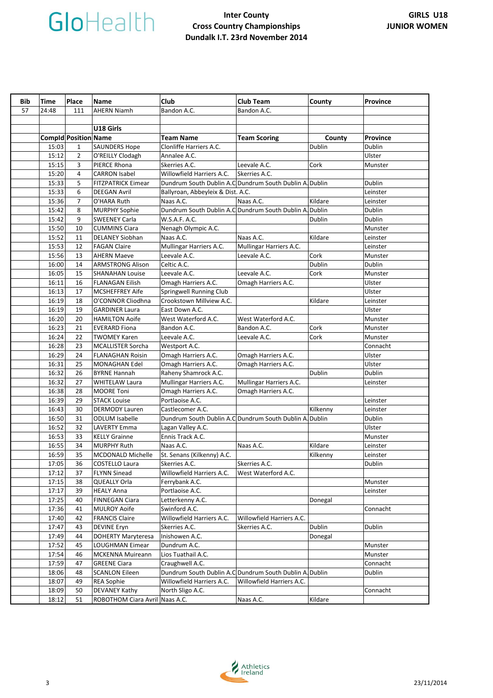| Bib | <b>Time</b> | Place                       | <b>Name</b>                    | Club                                                    | <b>Club Team</b>          | County   | <b>Province</b> |
|-----|-------------|-----------------------------|--------------------------------|---------------------------------------------------------|---------------------------|----------|-----------------|
| 57  | 24:48       | 111                         | <b>AHERN Niamh</b>             | Bandon A.C.                                             | Bandon A.C.               |          |                 |
|     |             |                             |                                |                                                         |                           |          |                 |
|     |             |                             | U18 Girls                      |                                                         |                           |          |                 |
|     |             | <b>Compid Position Name</b> |                                | <b>Team Name</b>                                        | <b>Team Scoring</b>       | County   | <b>Province</b> |
|     | 15:03       | $\mathbf{1}$                | <b>SAUNDERS Hope</b>           | Clonliffe Harriers A.C.                                 |                           | Dublin   | Dublin          |
|     | 15:12       | $\overline{2}$              | O'REILLY Clodagh               | Annalee A.C.                                            |                           |          | Ulster          |
|     | 15:15       | 3                           | PIERCE Rhona                   | Skerries A.C.                                           | Leevale A.C.              | Cork     | Munster         |
|     | 15:20       | 4                           | <b>CARRON Isabel</b>           | Willowfield Harriers A.C.                               | Skerries A.C.             |          |                 |
|     | 15:33       | 5                           | <b>FITZPATRICK Eimear</b>      | Dundrum South Dublin A.C Dundrum South Dublin A. Dublin |                           |          | Dublin          |
|     | 15:33       | 6                           | <b>DEEGAN Avril</b>            | Ballyroan, Abbeyleix & Dist. A.C.                       |                           |          | Leinster        |
|     | 15:36       | $\overline{7}$              | O'HARA Ruth                    | Naas A.C.                                               | Naas A.C.                 | Kildare  | Leinster        |
|     | 15:42       | 8                           | <b>MURPHY Sophie</b>           | Dundrum South Dublin A.C Dundrum South Dublin A. Dublin |                           |          | Dublin          |
|     | 15:42       | 9                           | <b>SWEENEY Carla</b>           | W.S.A.F. A.C.                                           |                           | Dublin   | Dublin          |
|     | 15:50       | 10                          | <b>CUMMINS Ciara</b>           | Nenagh Olympic A.C.                                     |                           |          | Munster         |
|     | 15:52       | 11                          | <b>DELANEY Siobhan</b>         | Naas A.C.                                               | Naas A.C.                 | Kildare  | Leinster        |
|     | 15:53       | 12                          | <b>FAGAN Claire</b>            | Mullingar Harriers A.C.                                 | Mullingar Harriers A.C.   |          | Leinster        |
|     | 15:56       | 13                          | <b>AHERN Maeve</b>             | Leevale A.C.                                            | Leevale A.C.              | Cork     | Munster         |
|     | 16:00       | 14                          | <b>ARMSTRONG Alison</b>        | Celtic A.C.                                             |                           | Dublin   | Dublin          |
|     | 16:05       | 15                          | <b>SHANAHAN Louise</b>         | Leevale A.C.                                            | Leevale A.C.              | Cork     | Munster         |
|     | 16:11       | 16                          | <b>FLANAGAN Eilish</b>         | Omagh Harriers A.C.                                     | Omagh Harriers A.C.       |          | Ulster          |
|     | 16:13       | 17                          | <b>MCSHEFFREY Aife</b>         | Springwell Running Club                                 |                           |          | Ulster          |
|     | 16:19       | 18                          | O'CONNOR Cliodhna              | Crookstown Millview A.C.                                |                           | Kildare  | Leinster        |
|     | 16:19       | 19                          | <b>GARDINER Laura</b>          | East Down A.C.                                          |                           |          | Ulster          |
|     | 16:20       | 20                          | <b>HAMILTON Aoife</b>          | West Waterford A.C.                                     | West Waterford A.C.       |          | Munster         |
|     | 16:23       | 21                          | <b>EVERARD Fiona</b>           | Bandon A.C.                                             | Bandon A.C.               | Cork     | Munster         |
|     | 16:24       | 22                          | <b>TWOMEY Karen</b>            | Leevale A.C.                                            | Leevale A.C.              | Cork     | Munster         |
|     | 16:28       | 23                          | <b>MCALLISTER Sorcha</b>       | Westport A.C.                                           |                           |          | Connacht        |
|     | 16:29       | 24                          | <b>FLANAGHAN Roisin</b>        | Omagh Harriers A.C.                                     | Omagh Harriers A.C.       |          | Ulster          |
|     | 16:31       | 25                          | MONAGHAN Edel                  | Omagh Harriers A.C.                                     | Omagh Harriers A.C.       |          | Ulster          |
|     | 16:32       | 26                          | <b>BYRNE Hannah</b>            | Raheny Shamrock A.C.                                    |                           | Dublin   | Dublin          |
|     | 16:32       | 27                          | <b>WHITELAW Laura</b>          | Mullingar Harriers A.C.                                 | Mullingar Harriers A.C.   |          | Leinster        |
|     | 16:38       | 28                          | <b>MOORE Toni</b>              | Omagh Harriers A.C.                                     | Omagh Harriers A.C.       |          |                 |
|     | 16:39       | 29                          | <b>STACK Louise</b>            | Portlaoise A.C.                                         |                           |          | Leinster        |
|     | 16:43       | 30                          | <b>DERMODY Lauren</b>          | Castlecomer A.C.                                        |                           | Kilkenny | Leinster        |
|     | 16:50       | 31                          | <b>ODLUM Isabelle</b>          | Dundrum South Dublin A.C Dundrum South Dublin A. Dublin |                           |          | Dublin          |
|     | 16:52       | 32                          | <b>LAVERTY Emma</b>            | Lagan Valley A.C.                                       |                           |          | Ulster          |
|     | 16:53       | 33                          | <b>KELLY Grainne</b>           | Ennis Track A.C.                                        |                           |          | Munster         |
|     | 16:55       | 34                          | <b>MURPHY Ruth</b>             | Naas A.C.                                               | Naas A.C.                 | Kildare  | Leinster        |
|     | 16:59       | 35                          | <b>MCDONALD Michelle</b>       | St. Senans (Kilkenny) A.C.                              |                           | Kilkenny | Leinster        |
|     | 17:05       | 36                          | COSTELLO Laura                 | Skerries A.C.                                           | Skerries A.C.             |          | Dublin          |
|     | 17:12       | 37                          | <b>FLYNN Sinead</b>            | Willowfield Harriers A.C.                               | West Waterford A.C.       |          |                 |
|     | 17:15       | 38                          | QUEALLY Orla                   | Ferrybank A.C.                                          |                           |          | Munster         |
|     | 17:17       | 39                          | <b>HEALY Anna</b>              | Portlaoise A.C.                                         |                           |          | Leinster        |
|     | 17:25       | 40                          | <b>FINNEGAN Ciara</b>          | Letterkenny A.C.                                        |                           | Donegal  |                 |
|     | 17:36       | 41                          | <b>MULROY Aoife</b>            | Swinford A.C.                                           |                           |          | Connacht        |
|     | 17:40       | 42                          | <b>FRANCIS Claire</b>          | Willowfield Harriers A.C.                               | Willowfield Harriers A.C. |          |                 |
|     | 17:47       | 43                          | <b>DEVINE Eryn</b>             | Skerries A.C.                                           | Skerries A.C.             | Dublin   | Dublin          |
|     | 17:49       | 44                          | <b>DOHERTY Maryteresa</b>      | Inishowen A.C.                                          |                           | Donegal  |                 |
|     | 17:52       | 45                          | LOUGHMAN Eimear                | Dundrum A.C.                                            |                           |          | Munster         |
|     | 17:54       | 46                          | <b>MCKENNA Muireann</b>        | Lios Tuathail A.C.                                      |                           |          | Munster         |
|     | 17:59       | 47                          | <b>GREENE Ciara</b>            | Craughwell A.C.                                         |                           |          | Connacht        |
|     | 18:06       | 48                          | <b>SCANLON Eileen</b>          | Dundrum South Dublin A.C Dundrum South Dublin A. Dublin |                           |          | Dublin          |
|     | 18:07       | 49                          | <b>REA Sophie</b>              | Willowfield Harriers A.C.                               | Willowfield Harriers A.C. |          |                 |
|     | 18:09       | 50                          | <b>DEVANEY Kathy</b>           | North Sligo A.C.                                        |                           |          | Connacht        |
|     | 18:12       | 51                          | ROBOTHOM Ciara Avril Naas A.C. |                                                         | Naas A.C.                 | Kildare  |                 |

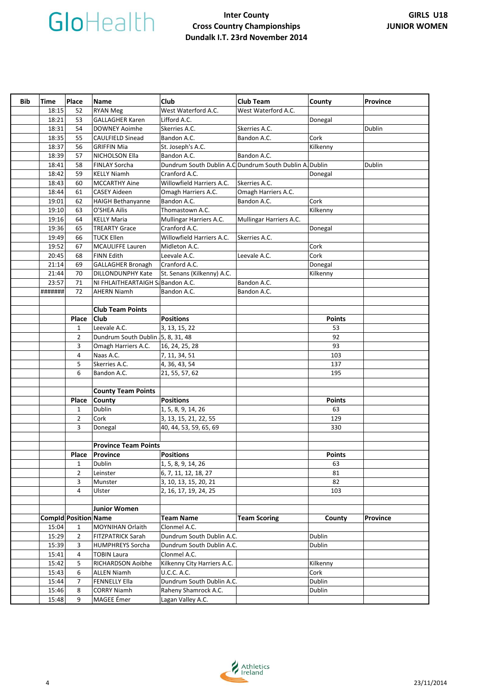| Bib | Time    | Place                       | <b>Name</b>                       | Club                                                    | <b>Club Team</b>        | County        | <b>Province</b> |
|-----|---------|-----------------------------|-----------------------------------|---------------------------------------------------------|-------------------------|---------------|-----------------|
|     | 18:15   | 52                          | <b>RYAN Meg</b>                   | West Waterford A.C.                                     | West Waterford A.C.     |               |                 |
|     | 18:21   | 53                          | <b>GALLAGHER Karen</b>            | Lifford A.C.                                            |                         | Donegal       |                 |
|     | 18:31   | 54                          | <b>DOWNEY Aoimhe</b>              | Skerries A.C.                                           | Skerries A.C.           |               | Dublin          |
|     | 18:35   | 55                          | <b>CAULFIELD Sinead</b>           | Bandon A.C.                                             | Bandon A.C.             | Cork          |                 |
|     | 18:37   | 56                          | <b>GRIFFIN Mia</b>                | St. Joseph's A.C.                                       |                         | Kilkenny      |                 |
|     | 18:39   | 57                          | NICHOLSON Ella                    | Bandon A.C.                                             | Bandon A.C.             |               |                 |
|     | 18:41   | 58                          | <b>FINLAY Sorcha</b>              | Dundrum South Dublin A.C Dundrum South Dublin A. Dublin |                         |               | Dublin          |
|     | 18:42   | 59                          | <b>KELLY Niamh</b>                | Cranford A.C.                                           |                         | Donegal       |                 |
|     | 18:43   | 60                          | <b>MCCARTHY Aine</b>              | Willowfield Harriers A.C.                               | Skerries A.C.           |               |                 |
|     | 18:44   | 61                          | <b>CASEY Aideen</b>               | Omagh Harriers A.C.                                     | Omagh Harriers A.C.     |               |                 |
|     | 19:01   | 62                          | <b>HAIGH Bethanyanne</b>          | Bandon A.C.                                             | Bandon A.C.             | Cork          |                 |
|     | 19:10   | 63                          | O'SHEA Ailis                      | Thomastown A.C.                                         |                         | Kilkenny      |                 |
|     | 19:16   | 64                          | <b>KELLY Maria</b>                | Mullingar Harriers A.C.                                 | Mullingar Harriers A.C. |               |                 |
|     | 19:36   | 65                          | <b>TREARTY Grace</b>              | Cranford A.C.                                           |                         | Donegal       |                 |
|     | 19:49   | 66                          | <b>TUCK Ellen</b>                 | Willowfield Harriers A.C.                               | Skerries A.C.           |               |                 |
|     | 19:52   | 67                          | <b>MCAULIFFE Lauren</b>           | Midleton A.C.                                           |                         | Cork          |                 |
|     | 20:45   | 68                          | <b>FINN Edith</b>                 | Leevale A.C.                                            | Leevale A.C.            | Cork          |                 |
|     | 21:14   | 69                          | <b>GALLAGHER Bronagh</b>          | Cranford A.C.                                           |                         | Donegal       |                 |
|     | 21:44   | 70                          | <b>DILLONDUNPHY Kate</b>          | St. Senans (Kilkenny) A.C.                              |                         | Kilkenny      |                 |
|     | 23:57   | 71                          | NI FHLAITHEARTAIGH Sa Bandon A.C. |                                                         | Bandon A.C.             |               |                 |
|     | ####### | 72                          | <b>AHERN Niamh</b>                | Bandon A.C.                                             | Bandon A.C.             |               |                 |
|     |         |                             |                                   |                                                         |                         |               |                 |
|     |         |                             | <b>Club Team Points</b>           |                                                         |                         |               |                 |
|     |         | Place                       | <b>Club</b>                       | <b>Positions</b>                                        |                         | <b>Points</b> |                 |
|     |         | 1                           | Leevale A.C.                      | 3, 13, 15, 22                                           |                         | 53            |                 |
|     |         | $\overline{2}$              | Dundrum South Dublin 5, 8, 31, 48 |                                                         |                         | 92            |                 |
|     |         | 3                           | Omagh Harriers A.C.               | 16, 24, 25, 28                                          |                         | 93            |                 |
|     |         | 4                           | Naas A.C.                         | 7, 11, 34, 51                                           |                         | 103           |                 |
|     |         | 5                           | Skerries A.C.                     | 4, 36, 43, 54                                           |                         | 137           |                 |
|     |         | 6                           | Bandon A.C.                       | 21, 55, 57, 62                                          |                         | 195           |                 |
|     |         |                             |                                   |                                                         |                         |               |                 |
|     |         |                             | <b>County Team Points</b>         |                                                         |                         |               |                 |
|     |         | Place                       | <b>County</b>                     | <b>Positions</b>                                        |                         | <b>Points</b> |                 |
|     |         | $\mathbf{1}$                | Dublin                            | 1, 5, 8, 9, 14, 26                                      |                         | 63            |                 |
|     |         | $\overline{2}$              | Cork                              | 3, 13, 15, 21, 22, 55                                   |                         | 129           |                 |
|     |         | 3                           | Donegal                           | 40, 44, 53, 59, 65, 69                                  |                         | 330           |                 |
|     |         |                             |                                   |                                                         |                         |               |                 |
|     |         |                             | <b>Province Team Points</b>       |                                                         |                         |               |                 |
|     |         | Place                       | Province                          | <b>Positions</b>                                        |                         | <b>Points</b> |                 |
|     |         | $1\quad$                    | Dublin                            | 1, 5, 8, 9, 14, 26                                      |                         | 63            |                 |
|     |         | $\overline{2}$              | Leinster                          | 6, 7, 11, 12, 18, 27                                    |                         | 81            |                 |
|     |         | 3                           | Munster                           | 3, 10, 13, 15, 20, 21                                   |                         | 82            |                 |
|     |         | 4                           | Ulster                            | 2, 16, 17, 19, 24, 25                                   |                         | 103           |                 |
|     |         |                             |                                   |                                                         |                         |               |                 |
|     |         |                             | <b>Junior Women</b>               |                                                         |                         |               |                 |
|     |         | <b>Compld Position Name</b> |                                   | <b>Team Name</b>                                        | <b>Team Scoring</b>     | County        | Province        |
|     | 15:04   | 1                           | MOYNIHAN Orlaith                  | Clonmel A.C.                                            |                         |               |                 |
|     | 15:29   | $\overline{2}$              | FITZPATRICK Sarah                 | Dundrum South Dublin A.C.                               |                         | Dublin        |                 |
|     | 15:39   | 3                           | <b>HUMPHREYS Sorcha</b>           | Dundrum South Dublin A.C.                               |                         | Dublin        |                 |
|     | 15:41   | 4                           | <b>TOBIN Laura</b>                | Clonmel A.C.                                            |                         |               |                 |
|     | 15:42   | 5                           | RICHARDSON Aoibhe                 | Kilkenny City Harriers A.C.                             |                         | Kilkenny      |                 |
|     | 15:43   | 6                           | <b>ALLEN Niamh</b>                | <b>U.C.C. A.C.</b>                                      |                         | Cork          |                 |
|     | 15:44   | 7                           | <b>FENNELLY Ella</b>              | Dundrum South Dublin A.C.                               |                         | Dublin        |                 |
|     | 15:46   | 8                           | <b>CORRY Niamh</b>                | Raheny Shamrock A.C.                                    |                         | Dublin        |                 |
|     | 15:48   | 9                           | MAGEE Émer                        | Lagan Valley A.C.                                       |                         |               |                 |